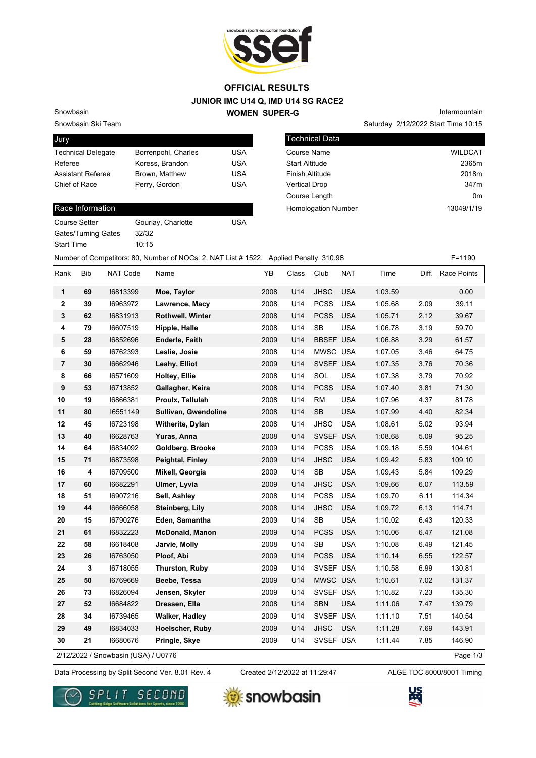

## **JUNIOR IMC U14 Q, IMD U14 SG RACE2 WOMEN SUPER-G OFFICIAL RESULTS**

Snowbasin Ski Team

Snowbasin

| Jury                      |                     |            |
|---------------------------|---------------------|------------|
| <b>Technical Delegate</b> | Borrenpohl, Charles | USA        |
| Referee                   | Koress, Brandon     | <b>USA</b> |
| <b>Assistant Referee</b>  | Brown, Matthew      | <b>USA</b> |
| Chief of Race             | Perry, Gordon       | <b>USA</b> |
|                           |                     |            |

## Race Information

| Course Setter              | Gourlay, Charlotte | USA |
|----------------------------|--------------------|-----|
| <b>Gates/Turning Gates</b> | 32/32              |     |
| <b>Start Time</b>          | 10:15              |     |

Saturday 2/12/2022 Start Time 10:15 Intermountain

| Technical Data             |                  |
|----------------------------|------------------|
| Course Name                | <b>WILDCAT</b>   |
| <b>Start Altitude</b>      | 2365m            |
| <b>Finish Altitude</b>     | 2018m            |
| <b>Vertical Drop</b>       | 347 <sub>m</sub> |
| Course Length              | 0m               |
| <b>Homologation Number</b> | 13049/1/19       |
|                            |                  |

Number of Competitors: 80, Number of NOCs: 2, NAT List # 1522, Applied Penalty 310.98 F=1190

| Rank           | Bib | NAT Code                            | Name                   | YB   | Class | Club             | <b>NAT</b> | Time    |      | Diff. Race Points |
|----------------|-----|-------------------------------------|------------------------|------|-------|------------------|------------|---------|------|-------------------|
| 1              | 69  | 16813399                            | Moe, Taylor            | 2008 | U14   | <b>JHSC</b>      | <b>USA</b> | 1:03.59 |      | 0.00              |
| $\mathbf 2$    | 39  | 16963972                            | Lawrence, Macy         | 2008 | U14   | <b>PCSS</b>      | <b>USA</b> | 1:05.68 | 2.09 | 39.11             |
| 3              | 62  | 16831913                            | Rothwell, Winter       | 2008 | U14   | <b>PCSS</b>      | <b>USA</b> | 1:05.71 | 2.12 | 39.67             |
| 4              | 79  | 16607519                            | Hipple, Halle          | 2008 | U14   | <b>SB</b>        | <b>USA</b> | 1:06.78 | 3.19 | 59.70             |
| 5              | 28  | 16852696                            | Enderle, Faith         | 2009 | U14   | <b>BBSEF USA</b> |            | 1:06.88 | 3.29 | 61.57             |
| 6              | 59  | 16762393                            | Leslie, Josie          | 2008 | U14   | MWSC USA         |            | 1:07.05 | 3.46 | 64.75             |
| $\overline{7}$ | 30  | 16662946                            | Leahy, Elliot          | 2009 | U14   | SVSEF USA        |            | 1:07.35 | 3.76 | 70.36             |
| 8              | 66  | 16571609                            | Holtey, Ellie          | 2008 | U14   | SOL              | <b>USA</b> | 1:07.38 | 3.79 | 70.92             |
| 9              | 53  | 16713852                            | Gallagher, Keira       | 2008 | U14   | <b>PCSS</b>      | <b>USA</b> | 1:07.40 | 3.81 | 71.30             |
| 10             | 19  | 16866381                            | Proulx, Tallulah       | 2008 | U14   | <b>RM</b>        | <b>USA</b> | 1:07.96 | 4.37 | 81.78             |
| 11             | 80  | 16551149                            | Sullivan, Gwendoline   | 2008 | U14   | <b>SB</b>        | <b>USA</b> | 1:07.99 | 4.40 | 82.34             |
| 12             | 45  | 16723198                            | Witherite, Dylan       | 2008 | U14   | <b>JHSC</b>      | <b>USA</b> | 1:08.61 | 5.02 | 93.94             |
| 13             | 40  | 16628763                            | Yuras, Anna            | 2008 | U14   | SVSEF USA        |            | 1:08.68 | 5.09 | 95.25             |
| 14             | 64  | 16834092                            | Goldberg, Brooke       | 2009 | U14   | <b>PCSS</b>      | <b>USA</b> | 1:09.18 | 5.59 | 104.61            |
| 15             | 71  | 16873598                            | Peightal, Finley       | 2009 | U14   | <b>JHSC</b>      | <b>USA</b> | 1:09.42 | 5.83 | 109.10            |
| 16             | 4   | 16709500                            | Mikell, Georgia        | 2009 | U14   | <b>SB</b>        | <b>USA</b> | 1:09.43 | 5.84 | 109.29            |
| 17             | 60  | 16682291                            | Ulmer, Lyvia           | 2009 | U14   | <b>JHSC</b>      | <b>USA</b> | 1:09.66 | 6.07 | 113.59            |
| 18             | 51  | 16907216                            | Sell, Ashley           | 2008 | U14   | <b>PCSS</b>      | <b>USA</b> | 1:09.70 | 6.11 | 114.34            |
| 19             | 44  | 16666058                            | Steinberg, Lily        | 2008 | U14   | <b>JHSC</b>      | <b>USA</b> | 1:09.72 | 6.13 | 114.71            |
| 20             | 15  | 16790276                            | Eden, Samantha         | 2009 | U14   | <b>SB</b>        | <b>USA</b> | 1:10.02 | 6.43 | 120.33            |
| 21             | 61  | 16832223                            | <b>McDonald, Manon</b> | 2009 | U14   | <b>PCSS</b>      | <b>USA</b> | 1:10.06 | 6.47 | 121.08            |
| 22             | 58  | 16618408                            | Jarvie, Molly          | 2008 | U14   | <b>SB</b>        | <b>USA</b> | 1:10.08 | 6.49 | 121.45            |
| 23             | 26  | 16763050                            | Ploof, Abi             | 2009 | U14   | <b>PCSS</b>      | <b>USA</b> | 1:10.14 | 6.55 | 122.57            |
| 24             | 3   | 16718055                            | Thurston, Ruby         | 2009 | U14   | SVSEF USA        |            | 1:10.58 | 6.99 | 130.81            |
| 25             | 50  | 16769669                            | Beebe, Tessa           | 2009 | U14   | MWSC USA         |            | 1:10.61 | 7.02 | 131.37            |
| 26             | 73  | 16826094                            | Jensen, Skyler         | 2009 | U14   | SVSEF USA        |            | 1:10.82 | 7.23 | 135.30            |
| 27             | 52  | 16684822                            | Dressen, Ella          | 2008 | U14   | <b>SBN</b>       | <b>USA</b> | 1:11.06 | 7.47 | 139.79            |
| 28             | 34  | 16739465                            | Walker, Hadley         | 2009 | U14   | SVSEF USA        |            | 1:11.10 | 7.51 | 140.54            |
| 29             | 49  | 16834033                            | Hoelscher, Ruby        | 2009 | U14   | JHSC             | <b>USA</b> | 1:11.28 | 7.69 | 143.91            |
| 30             | 21  | 16680676                            | Pringle, Skye          | 2009 | U14   | SVSEF USA        |            | 1:11.44 | 7.85 | 146.90            |
|                |     | 2/12/2022 / Snowbasin (USA) / U0776 |                        |      |       |                  |            |         |      | Page 1/3          |

2/12/2022 / Snowbasin (USA) / U0776

Data Processing by Split Second Ver. 8.01 Rev. 4 Created 2/12/2022 at 11:29:47 ALGE TDC 8000/8001 Timing Created 2/12/2022 at 11:29:47





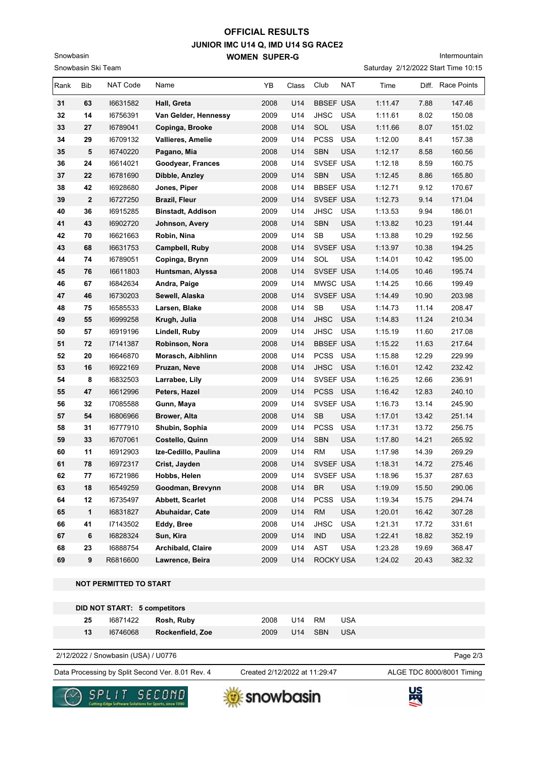## **JUNIOR IMC U14 Q, IMD U14 SG RACE2 WOMEN SUPER-G OFFICIAL RESULTS**

Intermountain

|      | Saturday 2/12/2022 Start Time 10:15<br>Snowbasin Ski Team |                 |                          |      |       |                  |            |         |       |                   |
|------|-----------------------------------------------------------|-----------------|--------------------------|------|-------|------------------|------------|---------|-------|-------------------|
| Rank | Bib                                                       | <b>NAT Code</b> | Name                     | YΒ   | Class | Club             | <b>NAT</b> | Time    |       | Diff. Race Points |
| 31   | 63                                                        | 16631582        | Hall, Greta              | 2008 | U14   | <b>BBSEF USA</b> |            | 1:11.47 | 7.88  | 147.46            |
| 32   | 14                                                        | 16756391        | Van Gelder, Hennessy     | 2009 | U14   | <b>JHSC</b>      | <b>USA</b> | 1:11.61 | 8.02  | 150.08            |
| 33   | 27                                                        | 16789041        | Copinga, Brooke          | 2008 | U14   | SOL              | <b>USA</b> | 1:11.66 | 8.07  | 151.02            |
| 34   | 29                                                        | 16709132        | <b>Vallieres, Amelie</b> | 2009 | U14   | <b>PCSS</b>      | <b>USA</b> | 1:12.00 | 8.41  | 157.38            |
| 35   | 5                                                         | 16740220        | Pagano, Mia              | 2008 | U14   | <b>SBN</b>       | <b>USA</b> | 1:12.17 | 8.58  | 160.56            |
| 36   | 24                                                        | 16614021        | Goodyear, Frances        | 2008 | U14   | SVSEF USA        |            | 1:12.18 | 8.59  | 160.75            |
| 37   | 22                                                        | 16781690        | Dibble, Anzley           | 2009 | U14   | <b>SBN</b>       | <b>USA</b> | 1:12.45 | 8.86  | 165.80            |
| 38   | 42                                                        | 16928680        | Jones, Piper             | 2008 | U14   | <b>BBSEF USA</b> |            | 1:12.71 | 9.12  | 170.67            |
| 39   | $\overline{\mathbf{2}}$                                   | 16727250        | Brazil, Fleur            | 2009 | U14   | SVSEF USA        |            | 1:12.73 | 9.14  | 171.04            |
| 40   | 36                                                        | 16915285        | <b>Binstadt, Addison</b> | 2009 | U14   | JHSC             | <b>USA</b> | 1:13.53 | 9.94  | 186.01            |
| 41   | 43                                                        | 16902720        | Johnson, Avery           | 2008 | U14   | <b>SBN</b>       | <b>USA</b> | 1:13.82 | 10.23 | 191.44            |
| 42   | 70                                                        | 16621663        | Robin, Nina              | 2009 | U14   | SB               | <b>USA</b> | 1:13.88 | 10.29 | 192.56            |
| 43   | 68                                                        | 16631753        | Campbell, Ruby           | 2008 | U14   | SVSEF USA        |            | 1:13.97 | 10.38 | 194.25            |
| 44   | 74                                                        | 16789051        | Copinga, Brynn           | 2009 | U14   | SOL              | <b>USA</b> | 1:14.01 | 10.42 | 195.00            |
| 45   | 76                                                        | 16611803        | Huntsman, Alyssa         | 2008 | U14   | SVSEF USA        |            | 1:14.05 | 10.46 | 195.74            |
| 46   | 67                                                        | 16842634        | Andra, Paige             | 2009 | U14   | MWSC USA         |            | 1:14.25 | 10.66 | 199.49            |
| 47   | 46                                                        | 16730203        | Sewell, Alaska           | 2008 | U14   | SVSEF USA        |            | 1:14.49 | 10.90 | 203.98            |
| 48   | 75                                                        | 16585533        | Larsen, Blake            | 2008 | U14   | SB               | <b>USA</b> | 1:14.73 | 11.14 | 208.47            |
| 49   | 55                                                        | 16999258        | Krugh, Julia             | 2008 | U14   | <b>JHSC</b>      | <b>USA</b> | 1:14.83 | 11.24 | 210.34            |
| 50   | 57                                                        | 16919196        | Lindell, Ruby            | 2009 | U14   | <b>JHSC</b>      | <b>USA</b> | 1:15.19 | 11.60 | 217.08            |
| 51   | 72                                                        | 17141387        | Robinson, Nora           | 2008 | U14   | <b>BBSEF USA</b> |            | 1:15.22 | 11.63 | 217.64            |
| 52   | 20                                                        | 16646870        | Morasch, Aibhlinn        | 2008 | U14   | <b>PCSS</b>      | USA        | 1:15.88 | 12.29 | 229.99            |
| 53   | 16                                                        | 16922169        | Pruzan, Neve             | 2008 | U14   | <b>JHSC</b>      | <b>USA</b> | 1:16.01 | 12.42 | 232.42            |
| 54   | 8                                                         | 16832503        | Larrabee, Lily           | 2009 | U14   | SVSEF USA        |            | 1:16.25 | 12.66 | 236.91            |
| 55   | 47                                                        | 16612996        | Peters, Hazel            | 2009 | U14   | PCSS USA         |            | 1:16.42 | 12.83 | 240.10            |
| 56   | 32                                                        | 17085588        | Gunn, Maya               | 2009 | U14   | SVSEF USA        |            | 1:16.73 | 13.14 | 245.90            |
| 57   | 54                                                        | 16806966        | Brower, Alta             | 2008 | U14   | SB               | <b>USA</b> | 1:17.01 | 13.42 | 251.14            |
| 58   | 31                                                        | 16777910        | Shubin, Sophia           | 2009 | U14   | <b>PCSS</b>      | <b>USA</b> | 1:17.31 | 13.72 | 256.75            |
| 59   | 33                                                        | 16707061        | Costello, Quinn          | 2009 | U14   | <b>SBN</b>       | <b>USA</b> | 1:17.80 | 14.21 | 265.92            |
| 60   | 11                                                        | 16912903        | Ize-Cedillo, Paulina     | 2009 | U14   | <b>RM</b>        | <b>USA</b> | 1:17.98 | 14.39 | 269.29            |
| 61   | 78                                                        | 16972317        | Crist, Jayden            | 2008 | U14   | SVSEF USA        |            | 1:18.31 | 14.72 | 275.46            |
| 62   | 77                                                        | 16721986        | Hobbs, Helen             | 2009 | U14   | SVSEF USA        |            | 1:18.96 | 15.37 | 287.63            |
| 63   | $18\,$                                                    | 16549259        | Goodman, Brevynn         | 2008 | U14   | <b>BR</b>        | <b>USA</b> | 1:19.09 | 15.50 | 290.06            |
| 64   | 12                                                        | 16735497        | Abbett, Scarlet          | 2008 | U14   | <b>PCSS</b>      | <b>USA</b> | 1:19.34 | 15.75 | 294.74            |
| 65   | $\mathbf{1}$                                              | 16831827        | Abuhaidar, Cate          | 2009 | U14   | $\mathsf{RM}$    | <b>USA</b> | 1:20.01 | 16.42 | 307.28            |
| 66   | 41                                                        | 17143502        | Eddy, Bree               | 2008 | U14   | <b>JHSC</b>      | <b>USA</b> | 1:21.31 | 17.72 | 331.61            |
| 67   | $\bf 6$                                                   | 16828324        | Sun, Kira                | 2009 | U14   | IND              | <b>USA</b> | 1:22.41 | 18.82 | 352.19            |
| 68   | 23                                                        | 16888754        | Archibald, Claire        | 2009 | U14   | AST              | <b>USA</b> | 1:23.28 | 19.69 | 368.47            |
| 69   | $\pmb{9}$                                                 | R6816600        | Lawrence, Beira          | 2009 | U14   | ROCKY USA        |            | 1:24.02 | 20.43 | 382.32            |

 **NOT PERMITTED TO START**

Snowbasin

| DID NOT START: 5 competitors<br>25<br>$16871422$ Rosh, Ruby<br>2008<br>U14 RM<br>USA |          |                  |      |  |         |            |  |
|--------------------------------------------------------------------------------------|----------|------------------|------|--|---------|------------|--|
|                                                                                      |          |                  |      |  |         |            |  |
| 13                                                                                   | 16746068 | Rockenfield, Zoe | 2009 |  | U14 SBN | <b>USA</b> |  |

2/12/2022 / Snowbasin (USA) / U0776

Data Processing by Split Second Ver. 8.01 Rev. 4 Created 2/12/2022 at 11:29:47 ALGE TDC 8000/8001 Timing

Created 2/12/2022 at 11:29:47

Page 2/3